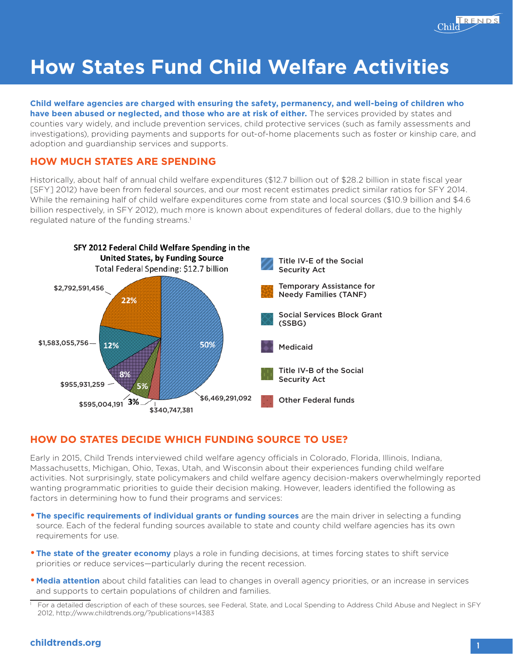

# **How States Fund Child Welfare Activities**

#### punties vary v<br>vestigations), investigations), providing payments and supports for out-of-home placements such as foster or kinship care, and<br>adoption and guardianship services and supports. **Child welfare agencies are charged with ensuring the safety, permanency, and well-being of children who have been abused or neglected, and those who are at risk of either.** The services provided by states and counties vary widely, and include prevention services, child protective services (such as family assessments and adoption and guardianship services and supports.

## n and g<br>MH*C* H **Brief HOW MUCH STATES ARE SPENDING**

Historically, about half of annual child welfare expenditures (\$12.7 billion out of \$28.2 billion in state fiscal year [SFY] 2012) have been from federal sources, and our most recent estimates predict similar ratios for SFY 2014. While the remaining half of child welfare expenditures come from state and local sources (\$10.9 billion and \$4.6 billion respectively, in SFY 2012), much more is known about expenditures of federal dollars, due to the highly regulated nature of the funding streams.<sup>1</sup>



### **HOW DO STATES DECIDE WHICH FUNDING SOURCE TO USE?**

Early in 2015, Child Trends interviewed child welfare agency officials in Colorado, Florida, Illinois, Indiana, Massachusetts, Michigan, Ohio, Texas, Utah, and Wisconsin about their experiences funding child welfare activities. Not surprisingly, state policymakers and child welfare agency decision-makers overwhelmingly reported wanting programmatic priorities to guide their decision making. However, leaders identified the following as factors in determining how to fund their programs and services:

- **The specific requirements of individual grants or funding sources** are the main driver in selecting a funding source. Each of the federal funding sources available to state and county child welfare agencies has its own requirements for use.
- **The state of the greater economy** plays a role in funding decisions, at times forcing states to shift service priorities or reduce services—particularly during the recent recession.
- **•Media attention** about child fatalities can lead to changes in overall agency priorities, or an increase in services and supports to certain populations of children and families.

#### **childtrends.org**

For a detailed description of each of these sources, see Federal, State, and Local Spending to Address Child Abuse and Neglect in SFY 2012, http://www.childtrends.org/?publications=14383